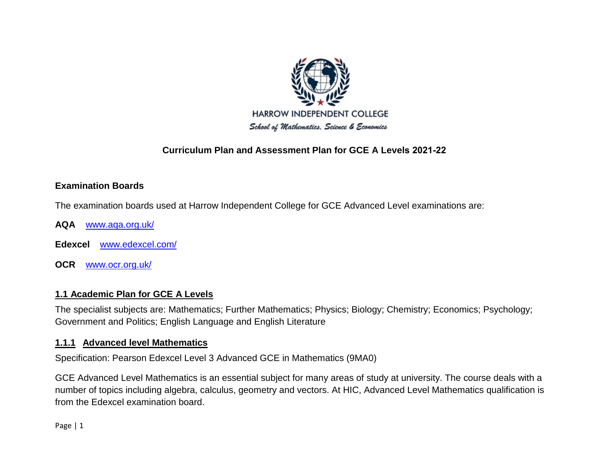

# **Curriculum Plan and Assessment Plan for GCE A Levels 2021-22**

## **Examination Boards**

The examination boards used at Harrow Independent College for GCE Advanced Level examinations are:

- **AQA** [www.aqa.org.uk/](http://www.aqa.org.uk/)
- **Edexcel** [www.edexcel.com/](http://www.edexcel.com/)
- **OCR** [www.ocr.org.uk/](http://www.ocr.org.uk/)

## **1.1 Academic Plan for GCE A Levels**

The specialist subjects are: Mathematics; Further Mathematics; Physics; Biology; Chemistry; Economics; Psychology; Government and Politics; English Language and English Literature

#### **1.1.1 Advanced level Mathematics**

Specification: Pearson Edexcel Level 3 Advanced GCE in Mathematics (9MA0)

GCE Advanced Level Mathematics is an essential subject for many areas of study at university. The course deals with a number of topics including algebra, calculus, geometry and vectors. At HIC, Advanced Level Mathematics qualification is from the Edexcel examination board.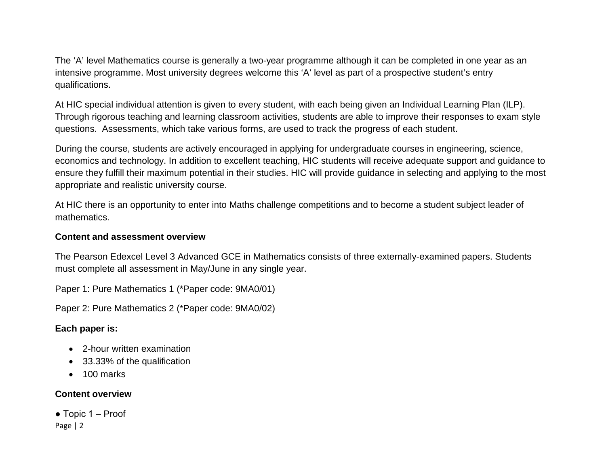The 'A' level Mathematics course is generally a two-year programme although it can be completed in one year as an intensive programme. Most university degrees welcome this 'A' level as part of a prospective student's entry qualifications.

At HIC special individual attention is given to every student, with each being given an Individual Learning Plan (ILP). Through rigorous teaching and learning classroom activities, students are able to improve their responses to exam style questions. Assessments, which take various forms, are used to track the progress of each student.

During the course, students are actively encouraged in applying for undergraduate courses in engineering, science, economics and technology. In addition to excellent teaching, HIC students will receive adequate support and guidance to ensure they fulfill their maximum potential in their studies. HIC will provide guidance in selecting and applying to the most appropriate and realistic university course.

At HIC there is an opportunity to enter into Maths challenge competitions and to become a student subject leader of mathematics.

#### **Content and assessment overview**

The Pearson Edexcel Level 3 Advanced GCE in Mathematics consists of three externally-examined papers. Students must complete all assessment in May/June in any single year.

Paper 1: Pure Mathematics 1 (\*Paper code: 9MA0/01)

Paper 2: Pure Mathematics 2 (\*Paper code: 9MA0/02)

## **Each paper is:**

- 2-hour written examination
- 33.33% of the qualification
- 100 marks

## **Content overview**

Page | 2  $\bullet$  Topic 1 – Proof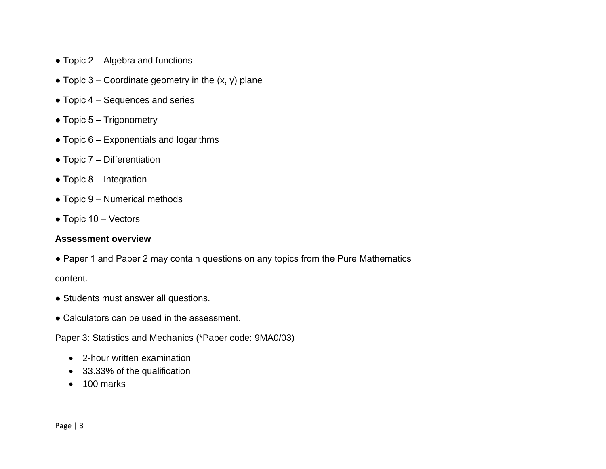- $\bullet$  Topic 2 Algebra and functions
- Topic  $3$  Coordinate geometry in the  $(x, y)$  plane
- $\bullet$  Topic 4 Sequences and series
- $\bullet$  Topic 5 Trigonometry
- $\bullet$  Topic 6 Exponentials and logarithms
- $\bullet$  Topic 7 Differentiation
- $\bullet$  Topic 8 Integration
- $\bullet$  Topic 9 Numerical methods
- $\bullet$  Topic 10 Vectors

#### **Assessment overview**

- Paper 1 and Paper 2 may contain questions on any topics from the Pure Mathematics content.
- Students must answer all questions.
- Calculators can be used in the assessment.

Paper 3: Statistics and Mechanics (\*Paper code: 9MA0/03)

- 2-hour written examination
- 33.33% of the qualification
- 100 marks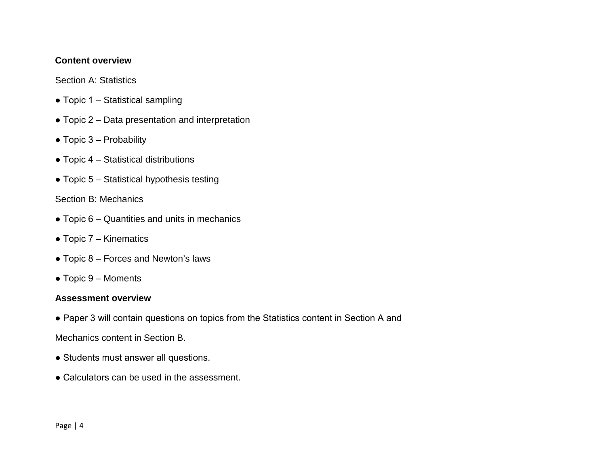#### **Content overview**

Section A: Statistics

- $\bullet$  Topic 1 Statistical sampling
- $\bullet$  Topic 2 Data presentation and interpretation
- $\bullet$  Topic 3 Probability
- $\bullet$  Topic 4 Statistical distributions
- $\bullet$  Topic 5 Statistical hypothesis testing

## Section B: Mechanics

- $\bullet$  Topic 6 Quantities and units in mechanics
- $\bullet$  Topic 7 Kinematics
- $\bullet$  Topic 8 Forces and Newton's laws
- $\bullet$  Topic 9 Moments

## **Assessment overview**

● Paper 3 will contain questions on topics from the Statistics content in Section A and

Mechanics content in Section B.

- Students must answer all questions.
- Calculators can be used in the assessment.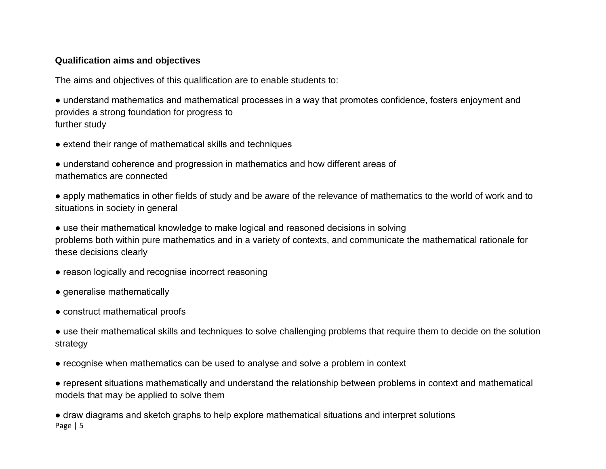## **Qualification aims and objectives**

The aims and objectives of this qualification are to enable students to:

● understand mathematics and mathematical processes in a way that promotes confidence, fosters enjoyment and provides a strong foundation for progress to further study

• extend their range of mathematical skills and techniques

● understand coherence and progression in mathematics and how different areas of mathematics are connected

● apply mathematics in other fields of study and be aware of the relevance of mathematics to the world of work and to situations in society in general

• use their mathematical knowledge to make logical and reasoned decisions in solving problems both within pure mathematics and in a variety of contexts, and communicate the mathematical rationale for these decisions clearly

- reason logically and recognise incorrect reasoning
- generalise mathematically
- construct mathematical proofs

● use their mathematical skills and techniques to solve challenging problems that require them to decide on the solution strategy

● recognise when mathematics can be used to analyse and solve a problem in context

● represent situations mathematically and understand the relationship between problems in context and mathematical models that may be applied to solve them

Page | 5 ● draw diagrams and sketch graphs to help explore mathematical situations and interpret solutions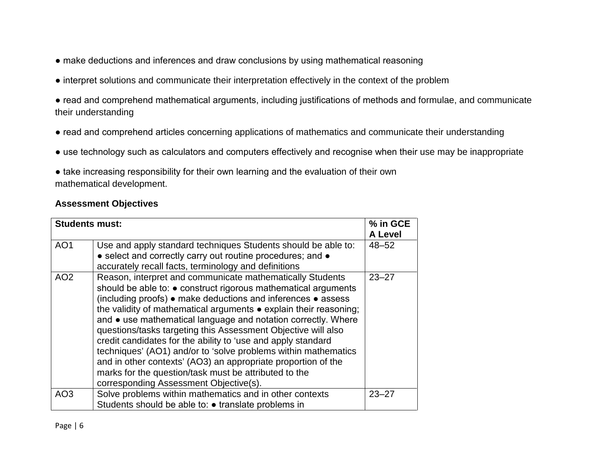- make deductions and inferences and draw conclusions by using mathematical reasoning
- interpret solutions and communicate their interpretation effectively in the context of the problem
- read and comprehend mathematical arguments, including justifications of methods and formulae, and communicate their understanding
- read and comprehend articles concerning applications of mathematics and communicate their understanding
- use technology such as calculators and computers effectively and recognise when their use may be inappropriate
- take increasing responsibility for their own learning and the evaluation of their own mathematical development.

#### **Assessment Objectives**

| <b>Students must:</b>              |                                                                                                                                                                                                                                                                                                                                                                                                                                                                                                                                                                                                                                                     | % in GCE                          |
|------------------------------------|-----------------------------------------------------------------------------------------------------------------------------------------------------------------------------------------------------------------------------------------------------------------------------------------------------------------------------------------------------------------------------------------------------------------------------------------------------------------------------------------------------------------------------------------------------------------------------------------------------------------------------------------------------|-----------------------------------|
| AO <sub>1</sub><br>AO <sub>2</sub> | Use and apply standard techniques Students should be able to:<br>• select and correctly carry out routine procedures; and •<br>accurately recall facts, terminology and definitions<br>Reason, interpret and communicate mathematically Students                                                                                                                                                                                                                                                                                                                                                                                                    | A Level<br>$48 - 52$<br>$23 - 27$ |
|                                    | should be able to: $\bullet$ construct rigorous mathematical arguments<br>(including proofs) • make deductions and inferences • assess<br>the validity of mathematical arguments • explain their reasoning;<br>and • use mathematical language and notation correctly. Where<br>questions/tasks targeting this Assessment Objective will also<br>credit candidates for the ability to 'use and apply standard<br>techniques' (AO1) and/or to 'solve problems within mathematics<br>and in other contexts' (AO3) an appropriate proportion of the<br>marks for the question/task must be attributed to the<br>corresponding Assessment Objective(s). |                                   |
| AO <sub>3</sub>                    | Solve problems within mathematics and in other contexts<br>Students should be able to: • translate problems in                                                                                                                                                                                                                                                                                                                                                                                                                                                                                                                                      | $23 - 27$                         |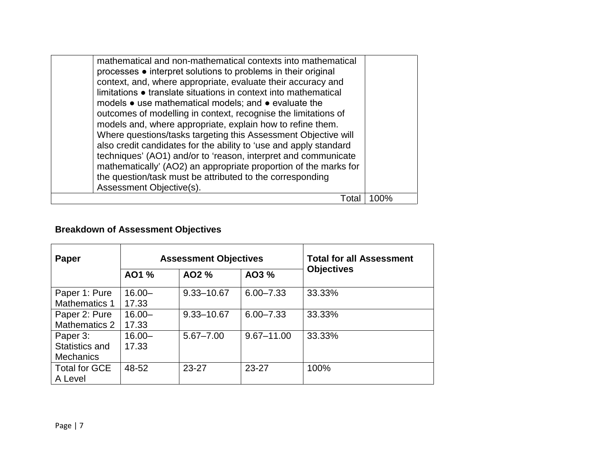| mathematical and non-mathematical contexts into mathematical<br>processes • interpret solutions to problems in their original<br>context, and, where appropriate, evaluate their accuracy and<br>limitations • translate situations in context into mathematical<br>models • use mathematical models; and • evaluate the<br>outcomes of modelling in context, recognise the limitations of<br>models and, where appropriate, explain how to refine them.<br>Where questions/tasks targeting this Assessment Objective will<br>also credit candidates for the ability to 'use and apply standard<br>techniques' (AO1) and/or to 'reason, interpret and communicate<br>mathematically' (AO2) an appropriate proportion of the marks for<br>the question/task must be attributed to the corresponding<br>Assessment Objective(s). |      |
|--------------------------------------------------------------------------------------------------------------------------------------------------------------------------------------------------------------------------------------------------------------------------------------------------------------------------------------------------------------------------------------------------------------------------------------------------------------------------------------------------------------------------------------------------------------------------------------------------------------------------------------------------------------------------------------------------------------------------------------------------------------------------------------------------------------------------------|------|
| Total                                                                                                                                                                                                                                                                                                                                                                                                                                                                                                                                                                                                                                                                                                                                                                                                                          | 100% |

# **Breakdown of Assessment Objectives**

| Paper                                          |                    | <b>Assessment Objectives</b> | <b>Total for all Assessment</b> |                   |
|------------------------------------------------|--------------------|------------------------------|---------------------------------|-------------------|
|                                                | AO1 %              | AO2 %                        | AO3 %                           | <b>Objectives</b> |
| Paper 1: Pure<br>Mathematics 1                 | $16.00 -$<br>17.33 | $9.33 - 10.67$               | $6.00 - 7.33$                   | 33.33%            |
| Paper 2: Pure<br>Mathematics 2                 | $16.00 -$<br>17.33 | $9.33 - 10.67$               | $6.00 - 7.33$                   | 33.33%            |
| Paper 3:<br>Statistics and<br><b>Mechanics</b> | $16.00 -$<br>17.33 | $5.67 - 7.00$                | $9.67 - 11.00$                  | 33.33%            |
| <b>Total for GCE</b><br>A Level                | 48-52              | $23 - 27$                    | $23 - 27$                       | 100%              |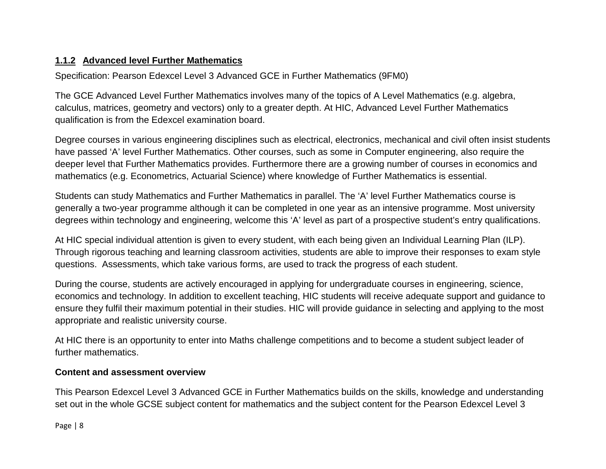# **1.1.2 Advanced level Further Mathematics**

Specification: Pearson Edexcel Level 3 Advanced GCE in Further Mathematics (9FM0)

The GCE Advanced Level Further Mathematics involves many of the topics of A Level Mathematics (e.g. algebra, calculus, matrices, geometry and vectors) only to a greater depth. At HIC, Advanced Level Further Mathematics qualification is from the Edexcel examination board.

Degree courses in various engineering disciplines such as electrical, electronics, mechanical and civil often insist students have passed 'A' level Further Mathematics. Other courses, such as some in Computer engineering, also require the deeper level that Further Mathematics provides. Furthermore there are a growing number of courses in economics and mathematics (e.g. Econometrics, Actuarial Science) where knowledge of Further Mathematics is essential.

Students can study Mathematics and Further Mathematics in parallel. The 'A' level Further Mathematics course is generally a two-year programme although it can be completed in one year as an intensive programme. Most university degrees within technology and engineering, welcome this 'A' level as part of a prospective student's entry qualifications.

At HIC special individual attention is given to every student, with each being given an Individual Learning Plan (ILP). Through rigorous teaching and learning classroom activities, students are able to improve their responses to exam style questions. Assessments, which take various forms, are used to track the progress of each student.

During the course, students are actively encouraged in applying for undergraduate courses in engineering, science, economics and technology. In addition to excellent teaching, HIC students will receive adequate support and guidance to ensure they fulfil their maximum potential in their studies. HIC will provide guidance in selecting and applying to the most appropriate and realistic university course.

At HIC there is an opportunity to enter into Maths challenge competitions and to become a student subject leader of further mathematics.

# **Content and assessment overview**

This Pearson Edexcel Level 3 Advanced GCE in Further Mathematics builds on the skills, knowledge and understanding set out in the whole GCSE subject content for mathematics and the subject content for the Pearson Edexcel Level 3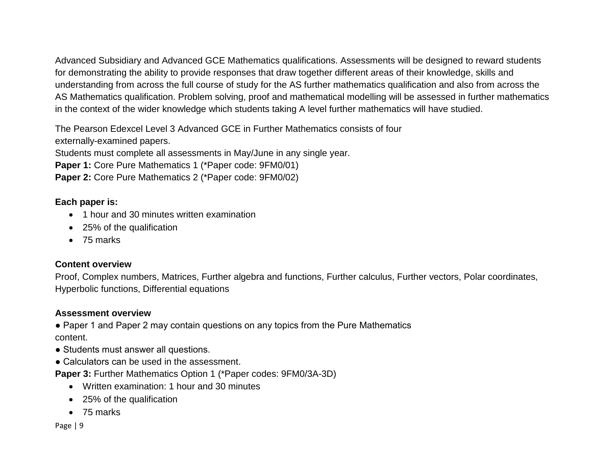Advanced Subsidiary and Advanced GCE Mathematics qualifications. Assessments will be designed to reward students for demonstrating the ability to provide responses that draw together different areas of their knowledge, skills and understanding from across the full course of study for the AS further mathematics qualification and also from across the AS Mathematics qualification. Problem solving, proof and mathematical modelling will be assessed in further mathematics in the context of the wider knowledge which students taking A level further mathematics will have studied.

The Pearson Edexcel Level 3 Advanced GCE in Further Mathematics consists of four

externally-examined papers.

Students must complete all assessments in May/June in any single year.

**Paper 1:** Core Pure Mathematics 1 (\*Paper code: 9FM0/01)

**Paper 2:** Core Pure Mathematics 2 (\*Paper code: 9FM0/02)

## **Each paper is:**

- 1 hour and 30 minutes written examination
- 25% of the qualification
- 75 marks

## **Content overview**

Proof, Complex numbers, Matrices, Further algebra and functions, Further calculus, Further vectors, Polar coordinates, Hyperbolic functions, Differential equations

## **Assessment overview**

• Paper 1 and Paper 2 may contain questions on any topics from the Pure Mathematics content.

- Students must answer all questions.
- Calculators can be used in the assessment.

**Paper 3:** Further Mathematics Option 1 (\*Paper codes: 9FM0/3A-3D)

- Written examination: 1 hour and 30 minutes
- 25% of the qualification
- 75 marks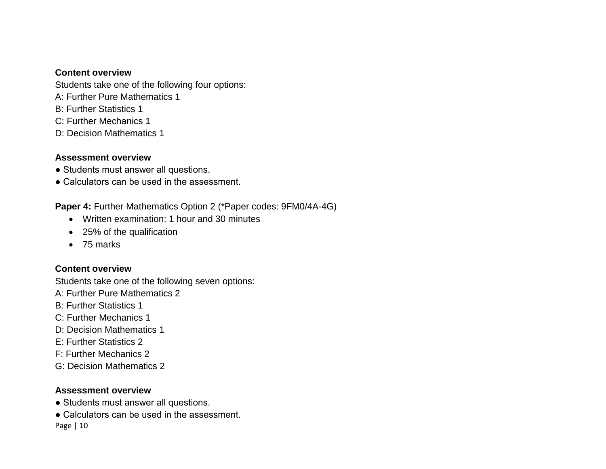#### **Content overview**

Students take one of the following four options:

- A: Further Pure Mathematics 1
- B: Further Statistics 1
- C: Further Mechanics 1
- D: Decision Mathematics 1

# **Assessment overview**

- Students must answer all questions.
- Calculators can be used in the assessment.

**Paper 4:** Further Mathematics Option 2 (\*Paper codes: 9FM0/4A-4G)

- Written examination: 1 hour and 30 minutes
- 25% of the qualification
- 75 marks

# **Content overview**

Students take one of the following seven options:

- A: Further Pure Mathematics 2
- B: Further Statistics 1
- C: Further Mechanics 1
- D: Decision Mathematics 1
- E: Further Statistics 2
- F: Further Mechanics 2
- G: Decision Mathematics 2

# **Assessment overview**

- Students must answer all questions.
- Page | 10 • Calculators can be used in the assessment.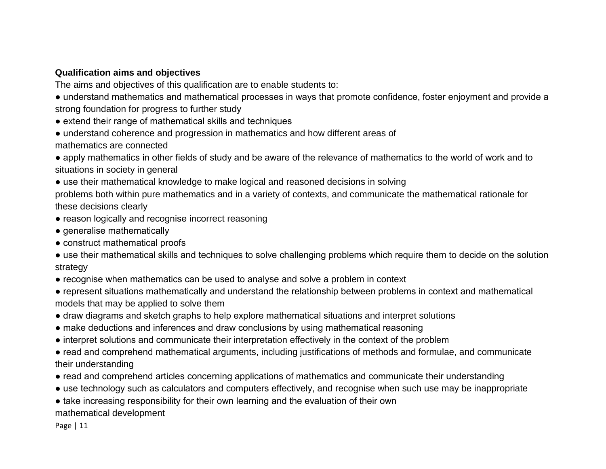# **Qualification aims and objectives**

The aims and objectives of this qualification are to enable students to:

- understand mathematics and mathematical processes in ways that promote confidence, foster enjoyment and provide a strong foundation for progress to further study
- extend their range of mathematical skills and techniques
- understand coherence and progression in mathematics and how different areas of

mathematics are connected

● apply mathematics in other fields of study and be aware of the relevance of mathematics to the world of work and to situations in society in general

• use their mathematical knowledge to make logical and reasoned decisions in solving

problems both within pure mathematics and in a variety of contexts, and communicate the mathematical rationale for these decisions clearly

- reason logically and recognise incorrect reasoning
- generalise mathematically
- construct mathematical proofs
- use their mathematical skills and techniques to solve challenging problems which require them to decide on the solution strategy
- recognise when mathematics can be used to analyse and solve a problem in context
- represent situations mathematically and understand the relationship between problems in context and mathematical models that may be applied to solve them
- draw diagrams and sketch graphs to help explore mathematical situations and interpret solutions
- make deductions and inferences and draw conclusions by using mathematical reasoning
- interpret solutions and communicate their interpretation effectively in the context of the problem
- read and comprehend mathematical arguments, including justifications of methods and formulae, and communicate their understanding
- read and comprehend articles concerning applications of mathematics and communicate their understanding
- use technology such as calculators and computers effectively, and recognise when such use may be inappropriate
- take increasing responsibility for their own learning and the evaluation of their own mathematical development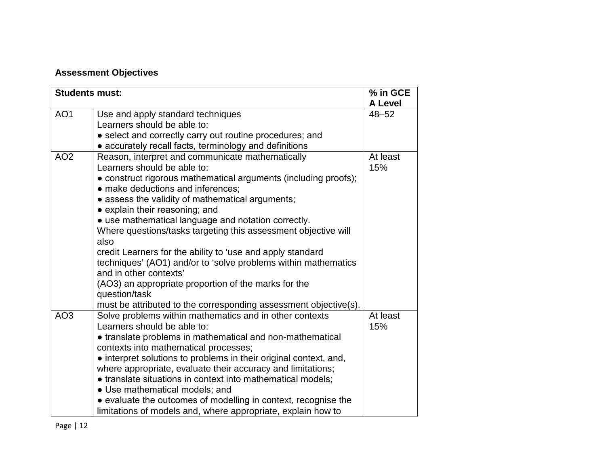# **Assessment Objectives**

| <b>Students must:</b> |                                                                   | % in GCE                    |
|-----------------------|-------------------------------------------------------------------|-----------------------------|
| AO <sub>1</sub>       | Use and apply standard techniques                                 | <b>A Level</b><br>$48 - 52$ |
|                       | Learners should be able to:                                       |                             |
|                       | • select and correctly carry out routine procedures; and          |                             |
|                       | • accurately recall facts, terminology and definitions            |                             |
| AO <sub>2</sub>       | Reason, interpret and communicate mathematically                  | At least                    |
|                       | Learners should be able to:                                       | 15%                         |
|                       | • construct rigorous mathematical arguments (including proofs);   |                             |
|                       | • make deductions and inferences;                                 |                             |
|                       | • assess the validity of mathematical arguments;                  |                             |
|                       | • explain their reasoning; and                                    |                             |
|                       | • use mathematical language and notation correctly.               |                             |
|                       | Where questions/tasks targeting this assessment objective will    |                             |
|                       | also                                                              |                             |
|                       | credit Learners for the ability to 'use and apply standard        |                             |
|                       | techniques' (AO1) and/or to 'solve problems within mathematics    |                             |
|                       | and in other contexts'                                            |                             |
|                       | (AO3) an appropriate proportion of the marks for the              |                             |
|                       | question/task                                                     |                             |
|                       | must be attributed to the corresponding assessment objective(s).  |                             |
| AO <sub>3</sub>       | Solve problems within mathematics and in other contexts           | At least                    |
|                       | Learners should be able to:                                       | 15%                         |
|                       | • translate problems in mathematical and non-mathematical         |                             |
|                       | contexts into mathematical processes;                             |                             |
|                       | • interpret solutions to problems in their original context, and, |                             |
|                       | where appropriate, evaluate their accuracy and limitations;       |                             |
|                       | • translate situations in context into mathematical models;       |                             |
|                       | • Use mathematical models; and                                    |                             |
|                       | • evaluate the outcomes of modelling in context, recognise the    |                             |
|                       | limitations of models and, where appropriate, explain how to      |                             |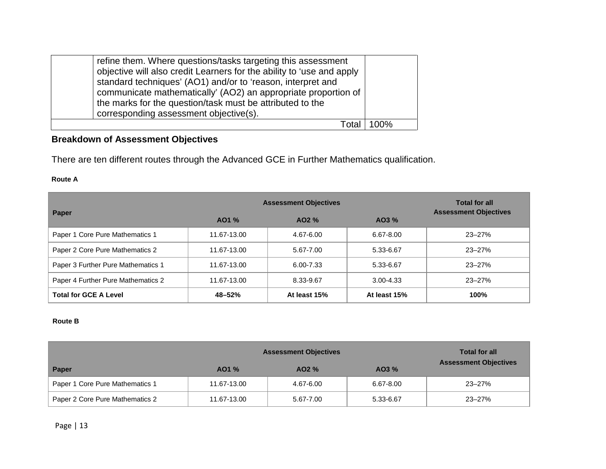| refine them. Where questions/tasks targeting this assessment<br>objective will also credit Learners for the ability to 'use and apply<br>standard techniques' (AO1) and/or to 'reason, interpret and<br>communicate mathematically' (AO2) an appropriate proportion of<br>the marks for the question/task must be attributed to the<br>corresponding assessment objective(s). |     |
|-------------------------------------------------------------------------------------------------------------------------------------------------------------------------------------------------------------------------------------------------------------------------------------------------------------------------------------------------------------------------------|-----|
| ⊺nts                                                                                                                                                                                                                                                                                                                                                                          | 00% |

# **Breakdown of Assessment Objectives**

There are ten different routes through the Advanced GCE in Further Mathematics qualification.

#### **Route A**

|                                    | <b>Assessment Objectives</b> | <b>Total for all</b><br><b>Assessment Objectives</b> |               |            |
|------------------------------------|------------------------------|------------------------------------------------------|---------------|------------|
| Paper                              | AO1 %                        | $AO2\%$                                              | AO3 %         |            |
| Paper 1 Core Pure Mathematics 1    | 11.67-13.00                  | 4.67-6.00                                            | 6.67-8.00     | $23 - 27%$ |
| Paper 2 Core Pure Mathematics 2    | 11.67-13.00                  | 5.67-7.00                                            | 5.33-6.67     | $23 - 27%$ |
| Paper 3 Further Pure Mathematics 1 | 11.67-13.00                  | 6.00-7.33                                            | 5.33-6.67     | $23 - 27%$ |
| Paper 4 Further Pure Mathematics 2 | 11.67-13.00                  | 8.33-9.67                                            | $3.00 - 4.33$ | $23 - 27%$ |
| <b>Total for GCE A Level</b>       | 48-52%                       | At least 15%                                         | At least 15%  | 100%       |

#### **Route B**

|                                 | <b>Assessment Objectives</b> | <b>Total for all</b> |           |                              |
|---------------------------------|------------------------------|----------------------|-----------|------------------------------|
| Paper                           | $AO1\%$                      | $AO2\%$              | $AO3\%$   | <b>Assessment Objectives</b> |
| Paper 1 Core Pure Mathematics 1 | 11.67-13.00                  | 4.67-6.00            | 6.67-8.00 | $23 - 27%$                   |
| Paper 2 Core Pure Mathematics 2 | 11.67-13.00                  | 5.67-7.00            | 5.33-6.67 | $23 - 27%$                   |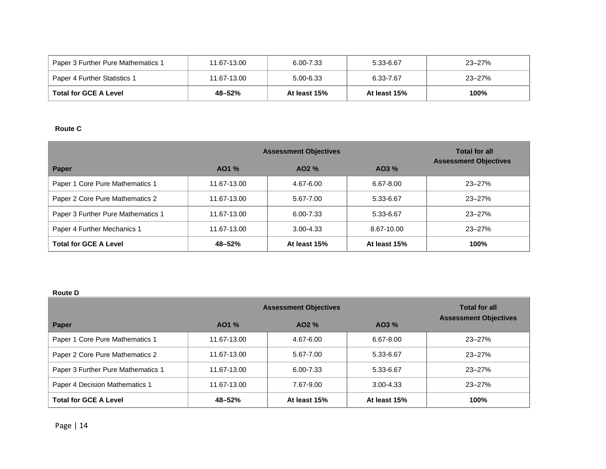| Paper 3 Further Pure Mathematics 1 | 11.67-13.00 | 6.00-7.33    | 5.33-6.67    | 23–27% |
|------------------------------------|-------------|--------------|--------------|--------|
| Paper 4 Further Statistics 1       | 11.67-13.00 | 5.00-6.33    | 6.33-7.67    | 23–27% |
| <b>Total for GCE A Level</b>       | 48-52%      | At least 15% | At least 15% | 100%   |

#### **Route C**

|                                    | <b>Assessment Objectives</b> | <b>Total for all</b><br><b>Assessment Objectives</b> |               |            |
|------------------------------------|------------------------------|------------------------------------------------------|---------------|------------|
| Paper                              | AO1 %                        | $AO2\%$                                              | $AO3\%$       |            |
| Paper 1 Core Pure Mathematics 1    | 11.67-13.00                  | 4.67-6.00                                            | $6.67 - 8.00$ | $23 - 27%$ |
| Paper 2 Core Pure Mathematics 2    | 11.67-13.00                  | 5.67-7.00                                            | 5.33-6.67     | $23 - 27%$ |
| Paper 3 Further Pure Mathematics 1 | 11.67-13.00                  | 6.00-7.33                                            | 5.33-6.67     | $23 - 27%$ |
| Paper 4 Further Mechanics 1        | 11.67-13.00                  | $3.00 - 4.33$                                        | 8.67-10.00    | $23 - 27%$ |
| <b>Total for GCE A Level</b>       | 48-52%                       | At least 15%                                         | At least 15%  | 100%       |

#### **Route D**

|                                    | <b>Assessment Objectives</b> | <b>Total for all</b> |               |                              |
|------------------------------------|------------------------------|----------------------|---------------|------------------------------|
| Paper                              | $AO1\%$                      | $AO2\%$              | $AO3\%$       | <b>Assessment Objectives</b> |
| Paper 1 Core Pure Mathematics 1    | 11.67-13.00                  | 4.67-6.00            | 6.67-8.00     | $23 - 27%$                   |
| Paper 2 Core Pure Mathematics 2    | 11.67-13.00                  | 5.67-7.00            | 5.33-6.67     | $23 - 27%$                   |
| Paper 3 Further Pure Mathematics 1 | 11.67-13.00                  | 6.00-7.33            | 5.33-6.67     | $23 - 27%$                   |
| Paper 4 Decision Mathematics 1     | 11.67-13.00                  | 7.67-9.00            | $3.00 - 4.33$ | $23 - 27%$                   |
| <b>Total for GCE A Level</b>       | 48-52%                       | At least 15%         | At least 15%  | 100%                         |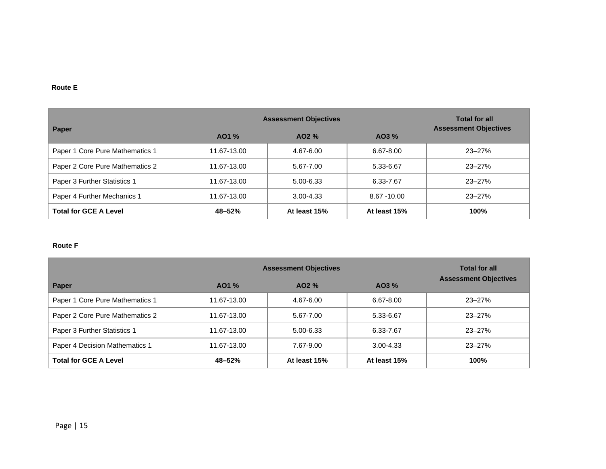#### **Route E**

|                                 | <b>Assessment Objectives</b> | <b>Total for all</b> |                |                              |
|---------------------------------|------------------------------|----------------------|----------------|------------------------------|
| Paper                           | AO1 %                        | $AO2\%$              | $AO3\%$        | <b>Assessment Objectives</b> |
| Paper 1 Core Pure Mathematics 1 | 11.67-13.00                  | 4.67-6.00            | 6.67-8.00      | $23 - 27%$                   |
| Paper 2 Core Pure Mathematics 2 | 11.67-13.00                  | 5.67-7.00            | 5.33-6.67      | $23 - 27%$                   |
| Paper 3 Further Statistics 1    | 11.67-13.00                  | 5.00-6.33            | 6.33-7.67      | $23 - 27%$                   |
| Paper 4 Further Mechanics 1     | 11.67-13.00                  | $3.00 - 4.33$        | $8.67 - 10.00$ | $23 - 27%$                   |
| <b>Total for GCE A Level</b>    | 48-52%                       | At least 15%         | At least 15%   | 100%                         |

#### **Route F**

|                                 | <b>Assessment Objectives</b> | <b>Total for all</b> |               |                              |
|---------------------------------|------------------------------|----------------------|---------------|------------------------------|
| Paper                           | $AO1\%$                      | $AO2\%$              | $AO3\%$       | <b>Assessment Objectives</b> |
| Paper 1 Core Pure Mathematics 1 | 11.67-13.00                  | 4.67-6.00            | $6.67 - 8.00$ | $23 - 27%$                   |
| Paper 2 Core Pure Mathematics 2 | 11.67-13.00                  | 5.67-7.00            | 5.33-6.67     | $23 - 27%$                   |
| Paper 3 Further Statistics 1    | 11.67-13.00                  | 5.00-6.33            | 6.33-7.67     | $23 - 27%$                   |
| Paper 4 Decision Mathematics 1  | 11.67-13.00                  | 7.67-9.00            | $3.00 - 4.33$ | $23 - 27%$                   |
| <b>Total for GCE A Level</b>    | 48-52%                       | At least 15%         | At least 15%  | 100%                         |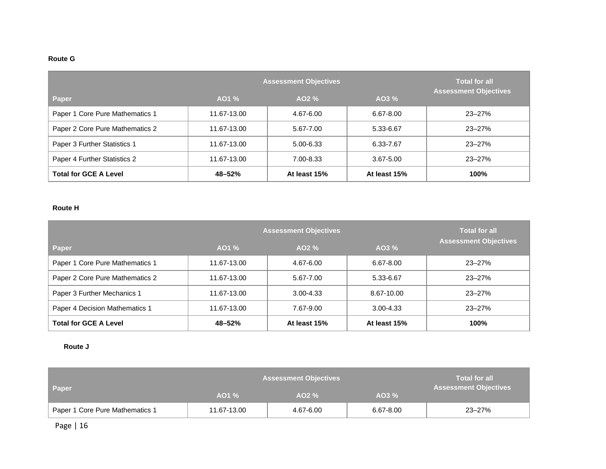#### **Route G**

|                                 | <b>Total for all</b><br><b>Assessment Objectives</b> |              |               |            |
|---------------------------------|------------------------------------------------------|--------------|---------------|------------|
| Paper                           | $AO1\%$                                              | AO2 %        | AO3 %         |            |
| Paper 1 Core Pure Mathematics 1 | 11.67-13.00                                          | 4.67-6.00    | $6.67 - 8.00$ | $23 - 27%$ |
| Paper 2 Core Pure Mathematics 2 | 11.67-13.00                                          | 5.67-7.00    | 5.33-6.67     | $23 - 27%$ |
| Paper 3 Further Statistics 1    | 11.67-13.00                                          | 5.00-6.33    | 6.33-7.67     | $23 - 27%$ |
| Paper 4 Further Statistics 2    | 11.67-13.00                                          | 7.00-8.33    | 3.67-5.00     | $23 - 27%$ |
| <b>Total for GCE A Level</b>    | 48-52%                                               | At least 15% | At least 15%  | 100%       |

#### **Route H**

|                                 | <b>Total for all</b> |               |               |                              |  |
|---------------------------------|----------------------|---------------|---------------|------------------------------|--|
| Paper                           | AO1 %                | AO2 %         | AO3 %         | <b>Assessment Objectives</b> |  |
| Paper 1 Core Pure Mathematics 1 | 11.67-13.00          | 4.67-6.00     | 6.67-8.00     | $23 - 27%$                   |  |
| Paper 2 Core Pure Mathematics 2 | 11.67-13.00          | 5.67-7.00     | 5.33-6.67     | $23 - 27%$                   |  |
| Paper 3 Further Mechanics 1     | 11.67-13.00          | $3.00 - 4.33$ | 8.67-10.00    | $23 - 27%$                   |  |
| Paper 4 Decision Mathematics 1  | 11.67-13.00          | 7.67-9.00     | $3.00 - 4.33$ | $23 - 27%$                   |  |
| <b>Total for GCE A Level</b>    | 48-52%               | At least 15%  | At least 15%  | 100%                         |  |

#### **Route J**

|                                 | <b>Assessment Objectives</b> | <b>Total for all</b> |           |                              |
|---------------------------------|------------------------------|----------------------|-----------|------------------------------|
| <b>Paper</b>                    | $AO1\%$                      | $AO2 \%$             | $AO3\%$   | <b>Assessment Objectives</b> |
| Paper 1 Core Pure Mathematics 1 | 11.67-13.00                  | 4.67-6.00            | 6.67-8.00 | 23-27%                       |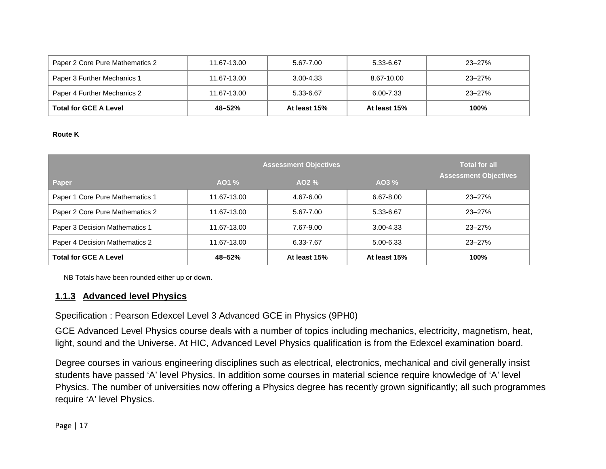| Paper 2 Core Pure Mathematics 2 | 11.67-13.00 | 5.67-7.00    | 5.33-6.67    | $23 - 27%$ |
|---------------------------------|-------------|--------------|--------------|------------|
| Paper 3 Further Mechanics 1     | 11.67-13.00 | 3.00-4.33    | 8.67-10.00   | $23 - 27%$ |
| Paper 4 Further Mechanics 2     | 11.67-13.00 | 5.33-6.67    | 6.00-7.33    | $23 - 27%$ |
| <b>Total for GCE A Level</b>    | 48–52%      | At least 15% | At least 15% | 100%       |

#### **Route K**

|                                 | <b>Total for all</b> |              |               |                              |  |
|---------------------------------|----------------------|--------------|---------------|------------------------------|--|
| Paper                           | AO1 %                | $AO2\%$      | AO3 %         | <b>Assessment Objectives</b> |  |
| Paper 1 Core Pure Mathematics 1 | 11.67-13.00          | 4.67-6.00    | 6.67-8.00     | $23 - 27%$                   |  |
| Paper 2 Core Pure Mathematics 2 | 11.67-13.00          | 5.67-7.00    | 5.33-6.67     | $23 - 27%$                   |  |
| Paper 3 Decision Mathematics 1  | 11.67-13.00          | 7.67-9.00    | $3.00 - 4.33$ | $23 - 27%$                   |  |
| Paper 4 Decision Mathematics 2  | 11.67-13.00          | 6.33-7.67    | 5.00-6.33     | $23 - 27%$                   |  |
| <b>Total for GCE A Level</b>    | 48-52%               | At least 15% | At least 15%  | <b>100%</b>                  |  |

NB Totals have been rounded either up or down.

## **1.1.3 Advanced level Physics**

Specification : Pearson Edexcel Level 3 Advanced GCE in Physics (9PH0)

GCE Advanced Level Physics course deals with a number of topics including mechanics, electricity, magnetism, heat, light, sound and the Universe. At HIC, Advanced Level Physics qualification is from the Edexcel examination board.

Degree courses in various engineering disciplines such as electrical, electronics, mechanical and civil generally insist students have passed 'A' level Physics. In addition some courses in material science require knowledge of 'A' level Physics. The number of universities now offering a Physics degree has recently grown significantly; all such programmes require 'A' level Physics.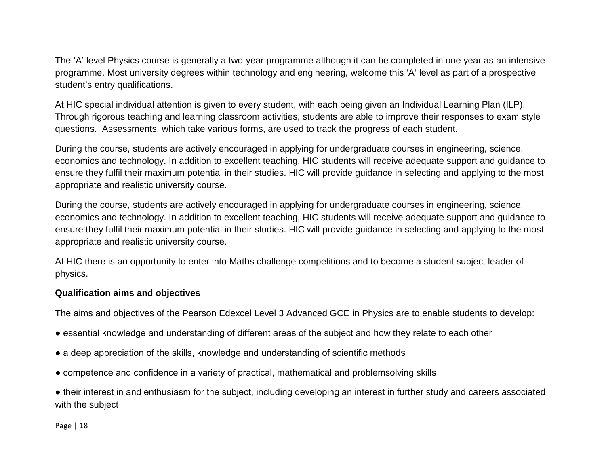The 'A' level Physics course is generally a two-year programme although it can be completed in one year as an intensive programme. Most university degrees within technology and engineering, welcome this 'A' level as part of a prospective student's entry qualifications.

At HIC special individual attention is given to every student, with each being given an Individual Learning Plan (ILP). Through rigorous teaching and learning classroom activities, students are able to improve their responses to exam style questions. Assessments, which take various forms, are used to track the progress of each student.

During the course, students are actively encouraged in applying for undergraduate courses in engineering, science, economics and technology. In addition to excellent teaching, HIC students will receive adequate support and guidance to ensure they fulfil their maximum potential in their studies. HIC will provide guidance in selecting and applying to the most appropriate and realistic university course.

During the course, students are actively encouraged in applying for undergraduate courses in engineering, science, economics and technology. In addition to excellent teaching, HIC students will receive adequate support and guidance to ensure they fulfil their maximum potential in their studies. HIC will provide guidance in selecting and applying to the most appropriate and realistic university course.

At HIC there is an opportunity to enter into Maths challenge competitions and to become a student subject leader of physics.

## **Qualification aims and objectives**

The aims and objectives of the Pearson Edexcel Level 3 Advanced GCE in Physics are to enable students to develop:

- essential knowledge and understanding of different areas of the subject and how they relate to each other
- a deep appreciation of the skills, knowledge and understanding of scientific methods
- competence and confidence in a variety of practical, mathematical and problemsolving skills

● their interest in and enthusiasm for the subject, including developing an interest in further study and careers associated with the subject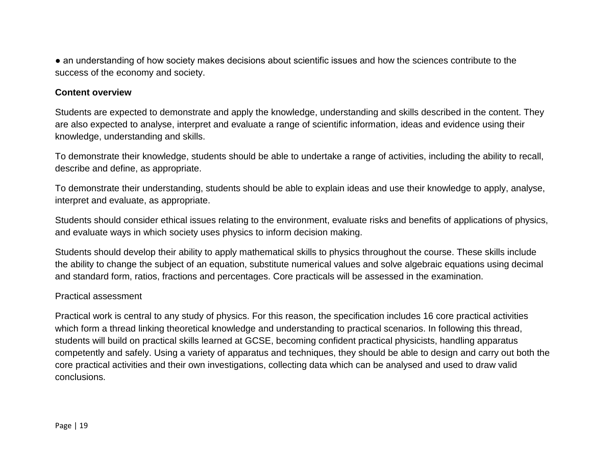• an understanding of how society makes decisions about scientific issues and how the sciences contribute to the success of the economy and society.

#### **Content overview**

Students are expected to demonstrate and apply the knowledge, understanding and skills described in the content. They are also expected to analyse, interpret and evaluate a range of scientific information, ideas and evidence using their knowledge, understanding and skills.

To demonstrate their knowledge, students should be able to undertake a range of activities, including the ability to recall, describe and define, as appropriate.

To demonstrate their understanding, students should be able to explain ideas and use their knowledge to apply, analyse, interpret and evaluate, as appropriate.

Students should consider ethical issues relating to the environment, evaluate risks and benefits of applications of physics, and evaluate ways in which society uses physics to inform decision making.

Students should develop their ability to apply mathematical skills to physics throughout the course. These skills include the ability to change the subject of an equation, substitute numerical values and solve algebraic equations using decimal and standard form, ratios, fractions and percentages. Core practicals will be assessed in the examination.

#### Practical assessment

Practical work is central to any study of physics. For this reason, the specification includes 16 core practical activities which form a thread linking theoretical knowledge and understanding to practical scenarios. In following this thread, students will build on practical skills learned at GCSE, becoming confident practical physicists, handling apparatus competently and safely. Using a variety of apparatus and techniques, they should be able to design and carry out both the core practical activities and their own investigations, collecting data which can be analysed and used to draw valid conclusions.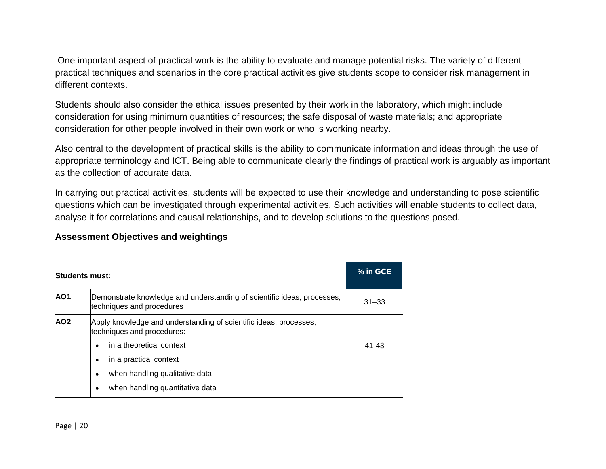One important aspect of practical work is the ability to evaluate and manage potential risks. The variety of different practical techniques and scenarios in the core practical activities give students scope to consider risk management in different contexts.

Students should also consider the ethical issues presented by their work in the laboratory, which might include consideration for using minimum quantities of resources; the safe disposal of waste materials; and appropriate consideration for other people involved in their own work or who is working nearby.

Also central to the development of practical skills is the ability to communicate information and ideas through the use of appropriate terminology and ICT. Being able to communicate clearly the findings of practical work is arguably as important as the collection of accurate data.

In carrying out practical activities, students will be expected to use their knowledge and understanding to pose scientific questions which can be investigated through experimental activities. Such activities will enable students to collect data, analyse it for correlations and causal relationships, and to develop solutions to the questions posed.

## **Assessment Objectives and weightings**

| <b>Students must:</b> |                                                                                                      | % in GCE  |
|-----------------------|------------------------------------------------------------------------------------------------------|-----------|
| AO <sub>1</sub>       | Demonstrate knowledge and understanding of scientific ideas, processes,<br>techniques and procedures | $31 - 33$ |
| AO <sub>2</sub>       | Apply knowledge and understanding of scientific ideas, processes,<br>techniques and procedures:      |           |
|                       | in a theoretical context<br>٠                                                                        | $41 - 43$ |
|                       | in a practical context<br>٠                                                                          |           |
|                       | when handling qualitative data<br>٠                                                                  |           |
|                       | when handling quantitative data<br>$\bullet$                                                         |           |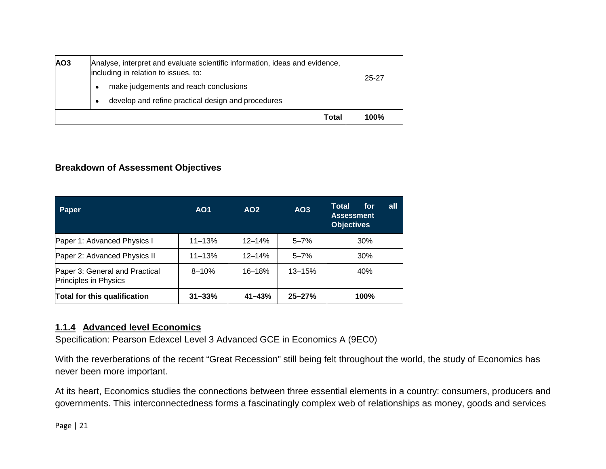| AO <sub>3</sub> | Analyse, interpret and evaluate scientific information, ideas and evidence,<br>including in relation to issues, to:<br>make judgements and reach conclusions<br>$\bullet$<br>develop and refine practical design and procedures | 25-27 |
|-----------------|---------------------------------------------------------------------------------------------------------------------------------------------------------------------------------------------------------------------------------|-------|
|                 | Total                                                                                                                                                                                                                           | 100%  |

## **Breakdown of Assessment Objectives**

| Paper                                                   | AO <sub>1</sub> | AO <sub>2</sub> | AO <sub>3</sub> | Total<br><u>all</u><br>for<br><b>Assessment</b><br><b>Objectives</b> |
|---------------------------------------------------------|-----------------|-----------------|-----------------|----------------------------------------------------------------------|
| Paper 1: Advanced Physics I                             | $11 - 13%$      | $12 - 14%$      | $5 - 7%$        | 30%                                                                  |
| Paper 2: Advanced Physics II                            | $11 - 13%$      | $12 - 14%$      | $5 - 7%$        | 30%                                                                  |
| Paper 3: General and Practical<br>Principles in Physics | $8 - 10%$       | $16 - 18%$      | $13 - 15%$      | 40%                                                                  |
| Total for this qualification                            | $31 - 33%$      | $41 - 43%$      | $25 - 27%$      | 100%                                                                 |

## **1.1.4 Advanced level Economics**

Specification: Pearson Edexcel Level 3 Advanced GCE in Economics A (9EC0)

With the reverberations of the recent "Great Recession" still being felt throughout the world, the study of Economics has never been more important.

At its heart, Economics studies the connections between three essential elements in a country: consumers, producers and governments. This interconnectedness forms a fascinatingly complex web of relationships as money, goods and services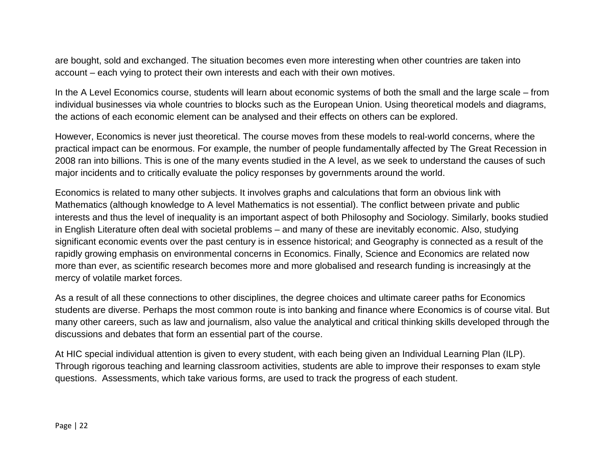are bought, sold and exchanged. The situation becomes even more interesting when other countries are taken into account – each vying to protect their own interests and each with their own motives.

In the A Level Economics course, students will learn about economic systems of both the small and the large scale – from individual businesses via whole countries to blocks such as the European Union. Using theoretical models and diagrams, the actions of each economic element can be analysed and their effects on others can be explored.

However, Economics is never just theoretical. The course moves from these models to real-world concerns, where the practical impact can be enormous. For example, the number of people fundamentally affected by The Great Recession in 2008 ran into billions. This is one of the many events studied in the A level, as we seek to understand the causes of such major incidents and to critically evaluate the policy responses by governments around the world.

Economics is related to many other subjects. It involves graphs and calculations that form an obvious link with Mathematics (although knowledge to A level Mathematics is not essential). The conflict between private and public interests and thus the level of inequality is an important aspect of both Philosophy and Sociology. Similarly, books studied in English Literature often deal with societal problems – and many of these are inevitably economic. Also, studying significant economic events over the past century is in essence historical; and Geography is connected as a result of the rapidly growing emphasis on environmental concerns in Economics. Finally, Science and Economics are related now more than ever, as scientific research becomes more and more globalised and research funding is increasingly at the mercy of volatile market forces.

As a result of all these connections to other disciplines, the degree choices and ultimate career paths for Economics students are diverse. Perhaps the most common route is into banking and finance where Economics is of course vital. But many other careers, such as law and journalism, also value the analytical and critical thinking skills developed through the discussions and debates that form an essential part of the course.

At HIC special individual attention is given to every student, with each being given an Individual Learning Plan (ILP). Through rigorous teaching and learning classroom activities, students are able to improve their responses to exam style questions. Assessments, which take various forms, are used to track the progress of each student.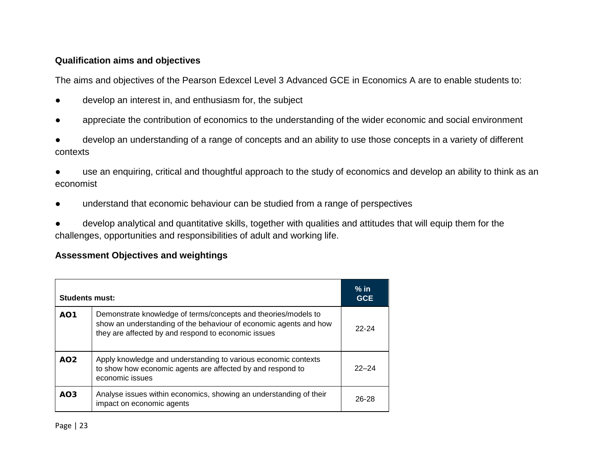## **Qualification aims and objectives**

The aims and objectives of the Pearson Edexcel Level 3 Advanced GCE in Economics A are to enable students to:

- develop an interest in, and enthusiasm for, the subject
- appreciate the contribution of economics to the understanding of the wider economic and social environment
- develop an understanding of a range of concepts and an ability to use those concepts in a variety of different contexts
- use an enquiring, critical and thoughtful approach to the study of economics and develop an ability to think as an economist
- understand that economic behaviour can be studied from a range of perspectives

develop analytical and quantitative skills, together with qualities and attitudes that will equip them for the challenges, opportunities and responsibilities of adult and working life.

# **Assessment Objectives and weightings**

| Students must:  |                                                                                                                                                                                            |           |
|-----------------|--------------------------------------------------------------------------------------------------------------------------------------------------------------------------------------------|-----------|
| AO <sub>1</sub> | Demonstrate knowledge of terms/concepts and theories/models to<br>show an understanding of the behaviour of economic agents and how<br>they are affected by and respond to economic issues | $22 - 24$ |
| AO2             | Apply knowledge and understanding to various economic contexts<br>to show how economic agents are affected by and respond to<br>economic issues                                            | $22 - 24$ |
| AO <sub>3</sub> | Analyse issues within economics, showing an understanding of their<br>impact on economic agents                                                                                            | 26-28     |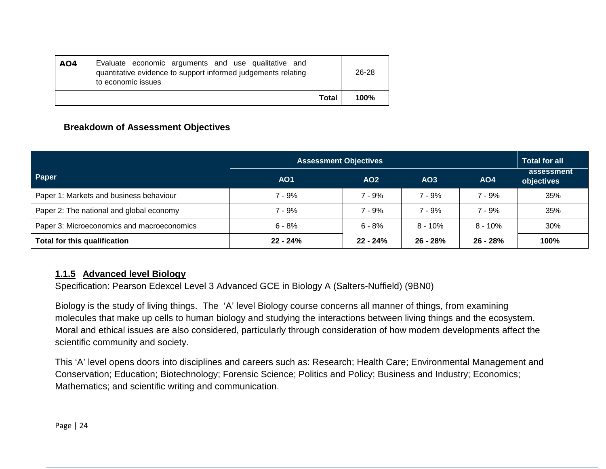| AO4 | Evaluate economic arguments and use qualitative and<br>quantitative evidence to support informed judgements relating<br>to economic issues |              | $26 - 28$ |
|-----|--------------------------------------------------------------------------------------------------------------------------------------------|--------------|-----------|
|     |                                                                                                                                            | <b>Total</b> | 100%      |

# **Breakdown of Assessment Objectives**

|                                            | <b>Assessment Objectives</b> | <b>Total for all</b> |                 |            |                          |
|--------------------------------------------|------------------------------|----------------------|-----------------|------------|--------------------------|
| Paper                                      | AO <sub>1</sub>              | AO <sub>2</sub>      | AO <sub>3</sub> | <b>AO4</b> | assessment<br>objectives |
| Paper 1: Markets and business behaviour    | 7 - 9%                       | $7 - 9%$             | $7 - 9%$        | $7 - 9%$   | 35%                      |
| Paper 2: The national and global economy   | 7 - 9%                       | ' - 9%               | $7 - 9%$        | 7 - 9%     | 35%                      |
| Paper 3: Microeconomics and macroeconomics | $6 - 8%$                     | 6 - 8%               | $8 - 10\%$      | $8 - 10\%$ | 30%                      |
| Total for this qualification               | $22 - 24%$                   | $22 - 24%$           | $26 - 28%$      | $26 - 28%$ | 100%                     |

## **1.1.5 Advanced level Biology**

Specification: Pearson Edexcel Level 3 Advanced GCE in Biology A (Salters-Nuffield) (9BN0)

Biology is the study of living things. The 'A' level Biology course concerns all manner of things, from examining molecules that make up cells to human biology and studying the interactions between living things and the ecosystem. Moral and ethical issues are also considered, particularly through consideration of how modern developments affect the scientific community and society.

This 'A' level opens doors into disciplines and careers such as: Research; Health Care; Environmental Management and Conservation; Education; Biotechnology; Forensic Science; Politics and Policy; Business and Industry; Economics; Mathematics; and scientific writing and communication.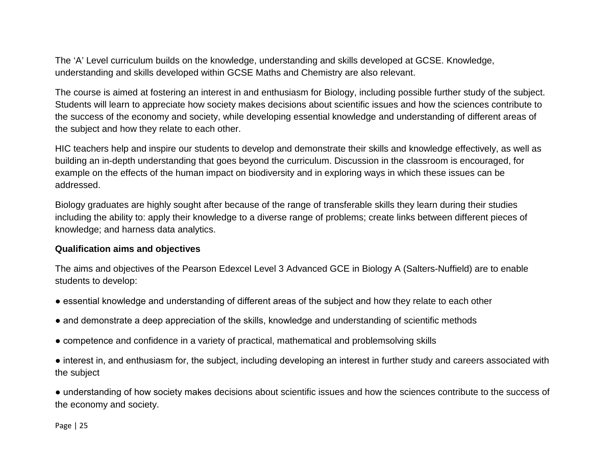The 'A' Level curriculum builds on the knowledge, understanding and skills developed at GCSE. Knowledge, understanding and skills developed within GCSE Maths and Chemistry are also relevant.

The course is aimed at fostering an interest in and enthusiasm for Biology, including possible further study of the subject. Students will learn to appreciate how society makes decisions about scientific issues and how the sciences contribute to the success of the economy and society, while developing essential knowledge and understanding of different areas of the subject and how they relate to each other.

HIC teachers help and inspire our students to develop and demonstrate their skills and knowledge effectively, as well as building an in-depth understanding that goes beyond the curriculum. Discussion in the classroom is encouraged, for example on the effects of the human impact on biodiversity and in exploring ways in which these issues can be addressed.

Biology graduates are highly sought after because of the range of transferable skills they learn during their studies including the ability to: apply their knowledge to a diverse range of problems; create links between different pieces of knowledge; and harness data analytics.

## **Qualification aims and objectives**

The aims and objectives of the Pearson Edexcel Level 3 Advanced GCE in Biology A (Salters-Nuffield) are to enable students to develop:

- essential knowledge and understanding of different areas of the subject and how they relate to each other
- and demonstrate a deep appreciation of the skills, knowledge and understanding of scientific methods
- competence and confidence in a variety of practical, mathematical and problemsolving skills

● interest in, and enthusiasm for, the subject, including developing an interest in further study and careers associated with the subject

● understanding of how society makes decisions about scientific issues and how the sciences contribute to the success of the economy and society.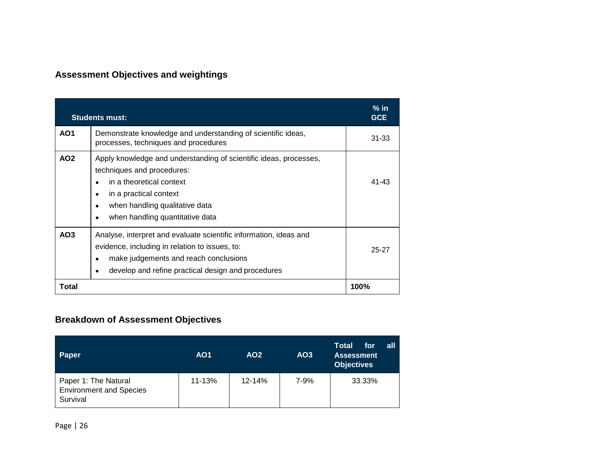# **Assessment Objectives and weightings**

|                 | <b>Students must:</b>                                                                                                                                                                                                                                     | $%$ in<br><b>GCE</b> |
|-----------------|-----------------------------------------------------------------------------------------------------------------------------------------------------------------------------------------------------------------------------------------------------------|----------------------|
| AO <sub>1</sub> | Demonstrate knowledge and understanding of scientific ideas,<br>processes, techniques and procedures                                                                                                                                                      | $31 - 33$            |
| AO <sub>2</sub> | Apply knowledge and understanding of scientific ideas, processes,<br>techniques and procedures:<br>in a theoretical context<br>$\bullet$<br>in a practical context<br>٠<br>when handling qualitative data<br>$\bullet$<br>when handling quantitative data | $41 - 43$            |
| AO <sub>3</sub> | Analyse, interpret and evaluate scientific information, ideas and<br>evidence, including in relation to issues, to:<br>make judgements and reach conclusions<br>$\bullet$<br>develop and refine practical design and procedures<br>٠                      | 25-27                |
| Total           |                                                                                                                                                                                                                                                           | 100%                 |

# **Breakdown of Assessment Objectives**

| Paper                                                              | AO <sub>1</sub> | AO <sub>2</sub> | AO <sub>3</sub> | Total<br>all<br>for<br><b>Assessment</b><br><b>Objectives</b> |
|--------------------------------------------------------------------|-----------------|-----------------|-----------------|---------------------------------------------------------------|
| Paper 1: The Natural<br><b>Environment and Species</b><br>Survival | $11 - 13%$      | 12-14%          | 7-9%            | 33.33%                                                        |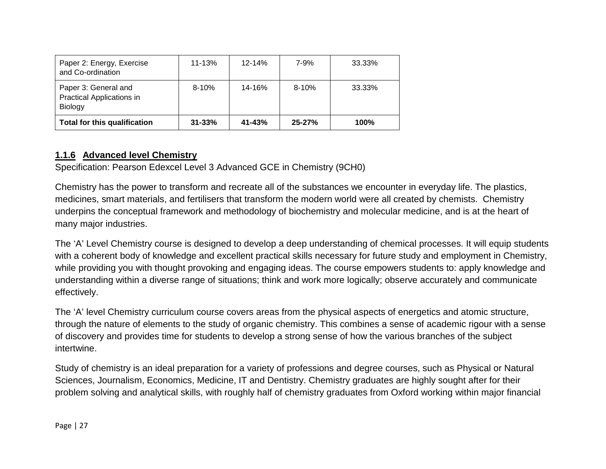| Paper 2: Energy, Exercise<br>and Co-ordination                             | $11 - 13%$ | $12 - 14%$ | 7-9%       | 33.33% |
|----------------------------------------------------------------------------|------------|------------|------------|--------|
| Paper 3: General and<br><b>Practical Applications in</b><br><b>Biology</b> | $8 - 10%$  | $14 - 16%$ | $8 - 10%$  | 33.33% |
| <b>Total for this qualification</b>                                        | $31 - 33%$ | $41 - 43%$ | $25 - 27%$ | 100%   |

## **1.1.6 Advanced level Chemistry**

Specification: Pearson Edexcel Level 3 Advanced GCE in Chemistry (9CH0)

Chemistry has the power to transform and recreate all of the substances we encounter in everyday life. The plastics, medicines, smart materials, and fertilisers that transform the modern world were all created by chemists. Chemistry underpins the conceptual framework and methodology of biochemistry and molecular medicine, and is at the heart of many major industries.

The 'A' Level Chemistry course is designed to develop a deep understanding of chemical processes. It will equip students with a coherent body of knowledge and excellent practical skills necessary for future study and employment in Chemistry, while providing you with thought provoking and engaging ideas. The course empowers students to: apply knowledge and understanding within a diverse range of situations; think and work more logically; observe accurately and communicate effectively.

The 'A' level Chemistry curriculum course covers areas from the physical aspects of energetics and atomic structure, through the nature of elements to the study of organic chemistry. This combines a sense of academic rigour with a sense of discovery and provides time for students to develop a strong sense of how the various branches of the subject intertwine.

Study of chemistry is an ideal preparation for a variety of professions and degree courses, such as Physical or Natural Sciences, Journalism, Economics, Medicine, IT and Dentistry. Chemistry graduates are highly sought after for their problem solving and analytical skills, with roughly half of chemistry graduates from Oxford working within major financial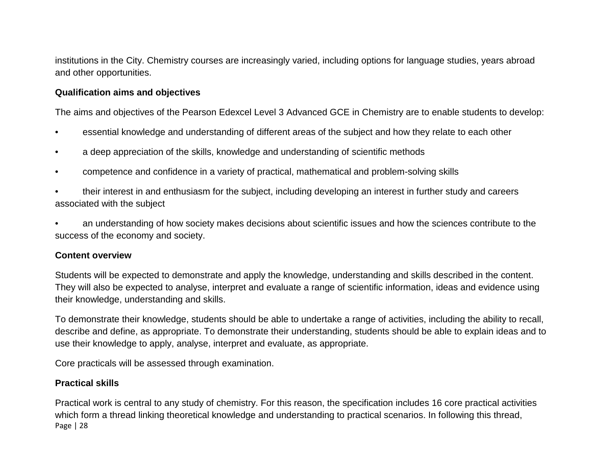institutions in the City. Chemistry courses are increasingly varied, including options for language studies, years abroad and other opportunities.

#### **Qualification aims and objectives**

The aims and objectives of the Pearson Edexcel Level 3 Advanced GCE in Chemistry are to enable students to develop:

- essential knowledge and understanding of different areas of the subject and how they relate to each other
- a deep appreciation of the skills, knowledge and understanding of scientific methods
- competence and confidence in a variety of practical, mathematical and problem-solving skills
- their interest in and enthusiasm for the subject, including developing an interest in further study and careers associated with the subject

• an understanding of how society makes decisions about scientific issues and how the sciences contribute to the success of the economy and society.

#### **Content overview**

Students will be expected to demonstrate and apply the knowledge, understanding and skills described in the content. They will also be expected to analyse, interpret and evaluate a range of scientific information, ideas and evidence using their knowledge, understanding and skills.

To demonstrate their knowledge, students should be able to undertake a range of activities, including the ability to recall, describe and define, as appropriate. To demonstrate their understanding, students should be able to explain ideas and to use their knowledge to apply, analyse, interpret and evaluate, as appropriate.

Core practicals will be assessed through examination.

## **Practical skills**

Page | 28 Practical work is central to any study of chemistry. For this reason, the specification includes 16 core practical activities which form a thread linking theoretical knowledge and understanding to practical scenarios. In following this thread,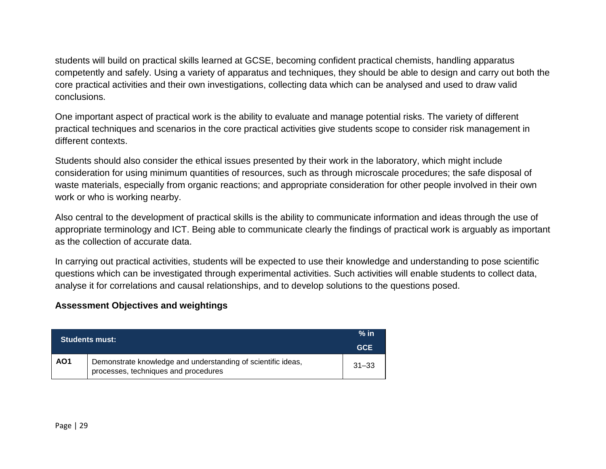students will build on practical skills learned at GCSE, becoming confident practical chemists, handling apparatus competently and safely. Using a variety of apparatus and techniques, they should be able to design and carry out both the core practical activities and their own investigations, collecting data which can be analysed and used to draw valid conclusions.

One important aspect of practical work is the ability to evaluate and manage potential risks. The variety of different practical techniques and scenarios in the core practical activities give students scope to consider risk management in different contexts.

Students should also consider the ethical issues presented by their work in the laboratory, which might include consideration for using minimum quantities of resources, such as through microscale procedures; the safe disposal of waste materials, especially from organic reactions; and appropriate consideration for other people involved in their own work or who is working nearby.

Also central to the development of practical skills is the ability to communicate information and ideas through the use of appropriate terminology and ICT. Being able to communicate clearly the findings of practical work is arguably as important as the collection of accurate data.

In carrying out practical activities, students will be expected to use their knowledge and understanding to pose scientific questions which can be investigated through experimental activities. Such activities will enable students to collect data, analyse it for correlations and causal relationships, and to develop solutions to the questions posed.

#### **Assessment Objectives and weightings**

|                 | <b>Students must:</b>                                                                                | $%$ in<br><b>GCE</b> |
|-----------------|------------------------------------------------------------------------------------------------------|----------------------|
| AO <sub>1</sub> | Demonstrate knowledge and understanding of scientific ideas,<br>processes, techniques and procedures | $31 - 33$            |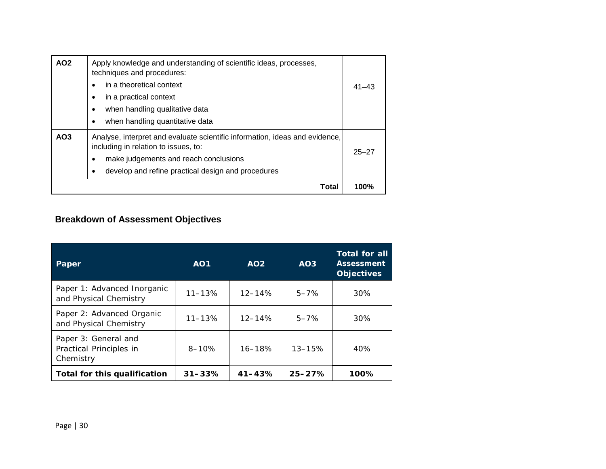| AO <sub>2</sub> | Apply knowledge and understanding of scientific ideas, processes,<br>techniques and procedures:<br>in a theoretical context<br>$\bullet$<br>in a practical context<br>٠<br>when handling qualitative data<br>$\bullet$<br>when handling quantitative data<br>$\bullet$ | $41 - 43$ |
|-----------------|------------------------------------------------------------------------------------------------------------------------------------------------------------------------------------------------------------------------------------------------------------------------|-----------|
| AO <sub>3</sub> | Analyse, interpret and evaluate scientific information, ideas and evidence,<br>including in relation to issues, to:<br>make judgements and reach conclusions<br>$\bullet$<br>develop and refine practical design and procedures<br>٠                                   | $25 - 27$ |
|                 | Total                                                                                                                                                                                                                                                                  | 100%      |

# **Breakdown of Assessment Objectives**

| Paper                                                        | AO <sub>1</sub> | AO2        | AO <sub>3</sub> | Total for all<br><b>Assessment</b><br><b>Objectives</b> |
|--------------------------------------------------------------|-----------------|------------|-----------------|---------------------------------------------------------|
| Paper 1: Advanced Inorganic<br>and Physical Chemistry        | $11 - 13%$      | $12 - 14%$ | $5 - 7%$        | 30%                                                     |
| Paper 2: Advanced Organic<br>and Physical Chemistry          | $11 - 13%$      | $12 - 14%$ | $5 - 7%$        | 30%                                                     |
| Paper 3: General and<br>Practical Principles in<br>Chemistry | $8 - 10%$       | $16 - 18%$ | $13 - 15%$      | 40%                                                     |
| Total for this qualification                                 | $31 - 33%$      | $41 - 43%$ | $25 - 27%$      | 100%                                                    |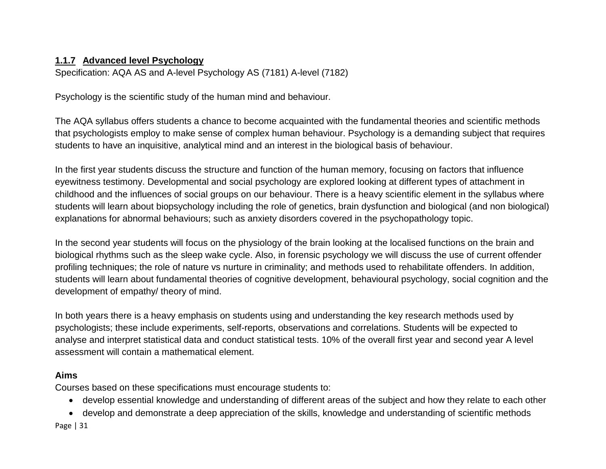# **1.1.7 Advanced level Psychology**

Specification: AQA AS and A-level Psychology AS (7181) A-level (7182)

Psychology is the scientific study of the human mind and behaviour.

The AQA syllabus offers students a chance to become acquainted with the fundamental theories and scientific methods that psychologists employ to make sense of complex human behaviour. Psychology is a demanding subject that requires students to have an inquisitive, analytical mind and an interest in the biological basis of behaviour.

In the first year students discuss the structure and function of the human memory, focusing on factors that influence eyewitness testimony. Developmental and social psychology are explored looking at different types of attachment in childhood and the influences of social groups on our behaviour. There is a heavy scientific element in the syllabus where students will learn about biopsychology including the role of genetics, brain dysfunction and biological (and non biological) explanations for abnormal behaviours; such as anxiety disorders covered in the psychopathology topic.

In the second year students will focus on the physiology of the brain looking at the localised functions on the brain and biological rhythms such as the sleep wake cycle. Also, in forensic psychology we will discuss the use of current offender profiling techniques; the role of nature vs nurture in criminality; and methods used to rehabilitate offenders. In addition, students will learn about fundamental theories of cognitive development, behavioural psychology, social cognition and the development of empathy/ theory of mind.

In both years there is a heavy emphasis on students using and understanding the key research methods used by psychologists; these include experiments, self-reports, observations and correlations. Students will be expected to analyse and interpret statistical data and conduct statistical tests. 10% of the overall first year and second year A level assessment will contain a mathematical element.

# **Aims**

Courses based on these specifications must encourage students to:

- develop essential knowledge and understanding of different areas of the subject and how they relate to each other
- develop and demonstrate a deep appreciation of the skills, knowledge and understanding of scientific methods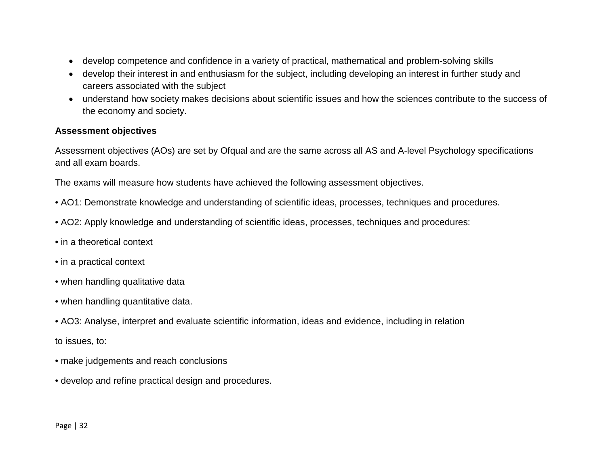- develop competence and confidence in a variety of practical, mathematical and problem-solving skills
- develop their interest in and enthusiasm for the subject, including developing an interest in further study and careers associated with the subject
- understand how society makes decisions about scientific issues and how the sciences contribute to the success of the economy and society.

#### **Assessment objectives**

Assessment objectives (AOs) are set by Ofqual and are the same across all AS and A-level Psychology specifications and all exam boards.

The exams will measure how students have achieved the following assessment objectives.

- AO1: Demonstrate knowledge and understanding of scientific ideas, processes, techniques and procedures.
- AO2: Apply knowledge and understanding of scientific ideas, processes, techniques and procedures:
- in a theoretical context
- in a practical context
- when handling qualitative data
- when handling quantitative data.
- AO3: Analyse, interpret and evaluate scientific information, ideas and evidence, including in relation to issues, to:
- make judgements and reach conclusions
- develop and refine practical design and procedures.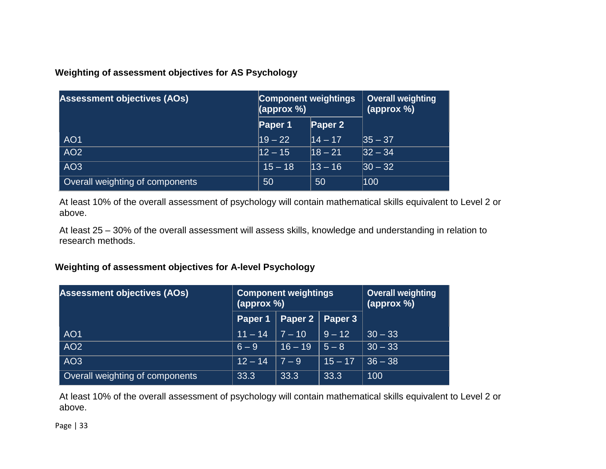**Weighting of assessment objectives for AS Psychology**

| <b>Assessment objectives (AOs)</b> | <b>Component weightings</b><br>(approx %) |            | <b>Overall weighting</b><br>(approx %) |  |
|------------------------------------|-------------------------------------------|------------|----------------------------------------|--|
|                                    | Paper 1                                   | Paper 2    |                                        |  |
| AO <sub>1</sub>                    | $19 - 22$                                 | $14 - 17$  | $ 35 - 37 $                            |  |
| AO <sub>2</sub>                    | $12 - 15$                                 | $ 18 - 21$ | $ 32 - 34 $                            |  |
| AO <sub>3</sub>                    | $15 - 18$                                 | $13 - 16$  | $ 30 - 32 $                            |  |
| Overall weighting of components    | 50                                        | 50         | 100                                    |  |

At least 10% of the overall assessment of psychology will contain mathematical skills equivalent to Level 2 or above.

At least 25 – 30% of the overall assessment will assess skills, knowledge and understanding in relation to research methods.

## **Weighting of assessment objectives for A-level Psychology**

| <b>Assessment objectives (AOs)</b> | <b>Component weightings</b><br>(approx %) |            |                    | <b>Overall weighting</b><br>(approx %) |  |
|------------------------------------|-------------------------------------------|------------|--------------------|----------------------------------------|--|
|                                    | Paper 1                                   | Paper 2    | Paper <sub>3</sub> |                                        |  |
| AO <sub>1</sub>                    | $11 - 14$                                 | $ 7 - 10 $ | $9 - 12$           | $30 - 33$                              |  |
| AO <sub>2</sub>                    | $6 - 9$                                   | $16 - 19$  | $5 - 8$            | $30 - 33$                              |  |
| AO <sub>3</sub>                    | $12 - 14$                                 | $7 - 9$    | $15 - 17$          | $36 - 38$                              |  |
| Overall weighting of components    | 33.3                                      | 33.3       | 33.3               | 100                                    |  |

At least 10% of the overall assessment of psychology will contain mathematical skills equivalent to Level 2 or above.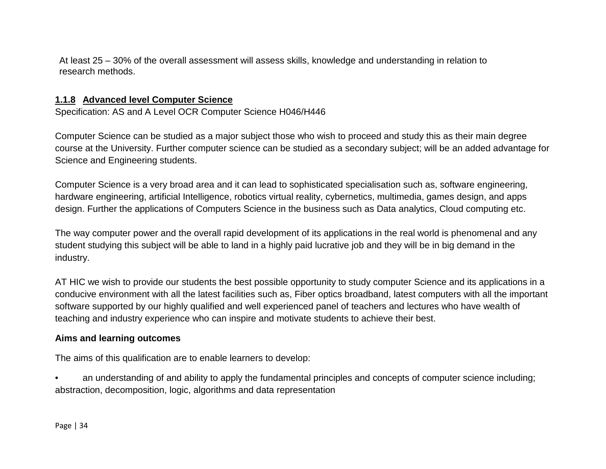At least 25 – 30% of the overall assessment will assess skills, knowledge and understanding in relation to research methods.

#### **1.1.8 Advanced level Computer Science**

Specification: AS and A Level OCR Computer Science H046/H446

Computer Science can be studied as a major subject those who wish to proceed and study this as their main degree course at the University. Further computer science can be studied as a secondary subject; will be an added advantage for Science and Engineering students.

Computer Science is a very broad area and it can lead to sophisticated specialisation such as, software engineering, hardware engineering, artificial Intelligence, robotics virtual reality, cybernetics, multimedia, games design, and apps design. Further the applications of Computers Science in the business such as Data analytics, Cloud computing etc.

The way computer power and the overall rapid development of its applications in the real world is phenomenal and any student studying this subject will be able to land in a highly paid lucrative job and they will be in big demand in the industry.

AT HIC we wish to provide our students the best possible opportunity to study computer Science and its applications in a conducive environment with all the latest facilities such as, Fiber optics broadband, latest computers with all the important software supported by our highly qualified and well experienced panel of teachers and lectures who have wealth of teaching and industry experience who can inspire and motivate students to achieve their best.

#### **Aims and learning outcomes**

The aims of this qualification are to enable learners to develop:

• an understanding of and ability to apply the fundamental principles and concepts of computer science including; abstraction, decomposition, logic, algorithms and data representation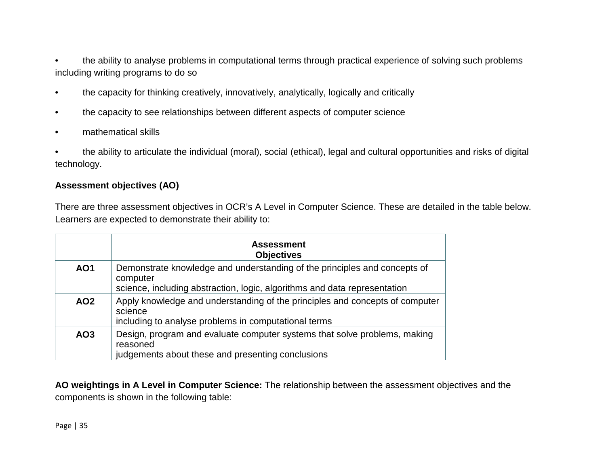- the ability to analyse problems in computational terms through practical experience of solving such problems including writing programs to do so
- the capacity for thinking creatively, innovatively, analytically, logically and critically
- the capacity to see relationships between different aspects of computer science
- mathematical skills

• the ability to articulate the individual (moral), social (ethical), legal and cultural opportunities and risks of digital technology.

#### **Assessment objectives (AO)**

There are three assessment objectives in OCR's A Level in Computer Science. These are detailed in the table below. Learners are expected to demonstrate their ability to:

|                 | <b>Assessment</b><br><b>Objectives</b>                                                                                                                             |
|-----------------|--------------------------------------------------------------------------------------------------------------------------------------------------------------------|
| <b>AO1</b>      | Demonstrate knowledge and understanding of the principles and concepts of<br>computer<br>science, including abstraction, logic, algorithms and data representation |
| <b>AO2</b>      | Apply knowledge and understanding of the principles and concepts of computer<br>science<br>including to analyse problems in computational terms                    |
| AO <sub>3</sub> | Design, program and evaluate computer systems that solve problems, making<br>reasoned<br>judgements about these and presenting conclusions                         |

**AO weightings in A Level in Computer Science:** The relationship between the assessment objectives and the components is shown in the following table: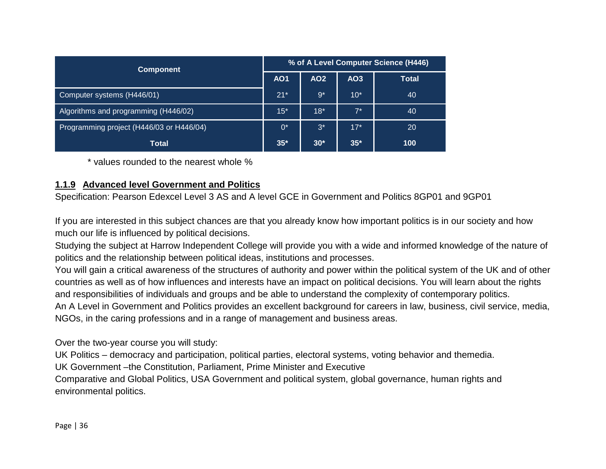| <b>Component</b>                         |       | % of A Level Computer Science (H446) |                 |              |  |  |
|------------------------------------------|-------|--------------------------------------|-----------------|--------------|--|--|
|                                          |       | AO <sub>2</sub>                      | AO <sub>3</sub> | <b>Total</b> |  |  |
| Computer systems (H446/01)               | $21*$ | $9*$                                 | $10*$           | 40           |  |  |
| Algorithms and programming (H446/02)     | $15*$ | $18*$                                | $7^*$           | 40           |  |  |
| Programming project (H446/03 or H446/04) | $0^*$ | $3^*$                                | $17*$           | 20           |  |  |
| <b>Total</b>                             | $35*$ | $30*$                                | $35*$           | 100          |  |  |

\* values rounded to the nearest whole %

## **1.1.9 Advanced level Government and Politics**

Specification: Pearson Edexcel Level 3 AS and A level GCE in Government and Politics 8GP01 and 9GP01

If you are interested in this subject chances are that you already know how important politics is in our society and how much our life is influenced by political decisions.

Studying the subject at Harrow Independent College will provide you with a wide and informed knowledge of the nature of politics and the relationship between political ideas, institutions and processes.

You will gain a critical awareness of the structures of authority and power within the political system of the UK and of other countries as well as of how influences and interests have an impact on political decisions. You will learn about the rights and responsibilities of individuals and groups and be able to understand the complexity of contemporary politics. An A Level in Government and Politics provides an excellent background for careers in law, business, civil service, media, NGOs, in the caring professions and in a range of management and business areas.

Over the two-year course you will study:

UK Politics – democracy and participation, political parties, electoral systems, voting behavior and themedia.

UK Government –the Constitution, Parliament, Prime Minister and Executive

Comparative and Global Politics, USA Government and political system, global governance, human rights and environmental politics.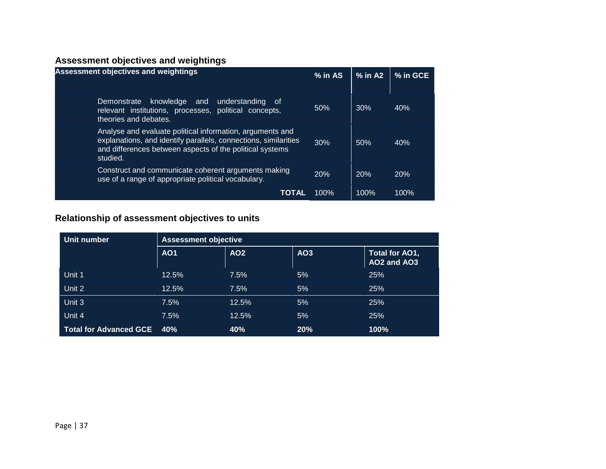# **Assessment objectives and weightings**

| <b>Assessment objectives and weightings</b>                                                                                                                                                          |         | $%$ in A2 | % in GCE |
|------------------------------------------------------------------------------------------------------------------------------------------------------------------------------------------------------|---------|-----------|----------|
| knowledge and<br>understanding<br>Demonstrate<br>. of<br>relevant institutions, processes, political concepts,<br>theories and debates.                                                              | 50%     | 30%       | 40%      |
| Analyse and evaluate political information, arguments and<br>explanations, and identify parallels, connections, similarities<br>and differences between aspects of the political systems<br>studied. | 30%     | 50%       | 40%      |
| Construct and communicate coherent arguments making<br>use of a range of appropriate political vocabulary.                                                                                           | 20%     | 20%       | 20%      |
| TOTAL                                                                                                                                                                                                | $100\%$ | 100%      | 100%     |

# **Relationship of assessment objectives to units**

| Unit number                   | <b>Assessment objective</b> |       |                 |                               |  |
|-------------------------------|-----------------------------|-------|-----------------|-------------------------------|--|
|                               | <b>AO1</b>                  | AO2   | AO <sub>3</sub> | Total for AO1,<br>AO2 and AO3 |  |
| Unit 1                        | 12.5%                       | 7.5%  | 5%              | 25%                           |  |
| Unit 2                        | 12.5%                       | 7.5%  | 5%              | 25%                           |  |
| Unit 3                        | 7.5%                        | 12.5% | 5%              | 25%                           |  |
| Unit 4                        | 7.5%                        | 12.5% | 5%              | 25%                           |  |
| <b>Total for Advanced GCE</b> | 40%                         | 40%   | 20%             | 100%                          |  |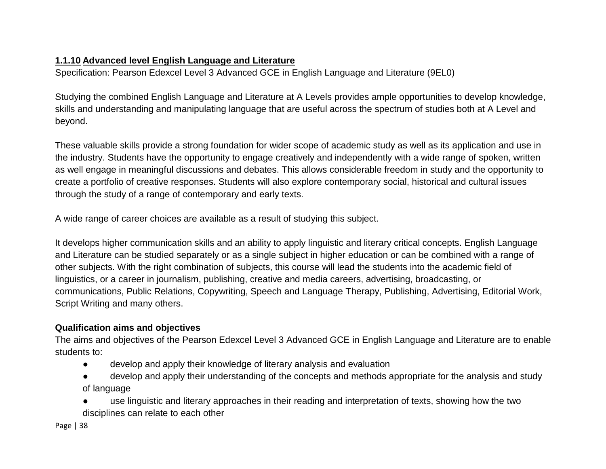# **1.1.10 Advanced level English Language and Literature**

Specification: Pearson Edexcel Level 3 Advanced GCE in English Language and Literature (9EL0)

Studying the combined English Language and Literature at A Levels provides ample opportunities to develop knowledge, skills and understanding and manipulating language that are useful across the spectrum of studies both at A Level and beyond.

These valuable skills provide a strong foundation for wider scope of academic study as well as its application and use in the industry. Students have the opportunity to engage creatively and independently with a wide range of spoken, written as well engage in meaningful discussions and debates. This allows considerable freedom in study and the opportunity to create a portfolio of creative responses. Students will also explore contemporary social, historical and cultural issues through the study of a range of contemporary and early texts.

A wide range of career choices are available as a result of studying this subject.

It develops higher communication skills and an ability to apply linguistic and literary critical concepts. English Language and Literature can be studied separately or as a single subject in higher education or can be combined with a range of other subjects. With the right combination of subjects, this course will lead the students into the academic field of linguistics, or a career in journalism, publishing, creative and media careers, advertising, broadcasting, or communications, Public Relations, Copywriting, Speech and Language Therapy, Publishing, Advertising, Editorial Work, Script Writing and many others.

# **Qualification aims and objectives**

The aims and objectives of the Pearson Edexcel Level 3 Advanced GCE in English Language and Literature are to enable students to:

- develop and apply their knowledge of literary analysis and evaluation
- develop and apply their understanding of the concepts and methods appropriate for the analysis and study of language
- use linguistic and literary approaches in their reading and interpretation of texts, showing how the two disciplines can relate to each other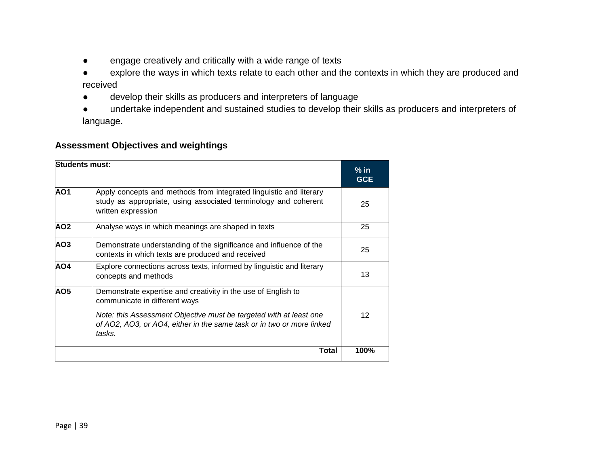- engage creatively and critically with a wide range of texts
- explore the ways in which texts relate to each other and the contexts in which they are produced and received
- develop their skills as producers and interpreters of language
- undertake independent and sustained studies to develop their skills as producers and interpreters of language.

# **Assessment Objectives and weightings**

| <b>Students must:</b> |                                                                                                                                                             | $%$ in<br><b>GCE</b> |
|-----------------------|-------------------------------------------------------------------------------------------------------------------------------------------------------------|----------------------|
| AO <sub>1</sub>       | Apply concepts and methods from integrated linguistic and literary<br>study as appropriate, using associated terminology and coherent<br>written expression | 25                   |
| AO <sub>2</sub>       | Analyse ways in which meanings are shaped in texts                                                                                                          | 25                   |
| AO3                   | Demonstrate understanding of the significance and influence of the<br>contexts in which texts are produced and received                                     | 25                   |
| AO4                   | Explore connections across texts, informed by linguistic and literary<br>concepts and methods                                                               | 13                   |
| AO <sub>5</sub>       | Demonstrate expertise and creativity in the use of English to<br>communicate in different ways                                                              |                      |
|                       | Note: this Assessment Objective must be targeted with at least one<br>of AO2, AO3, or AO4, either in the same task or in two or more linked<br>tasks.       | $12 \overline{ }$    |
|                       | <b>Total</b>                                                                                                                                                | 100%                 |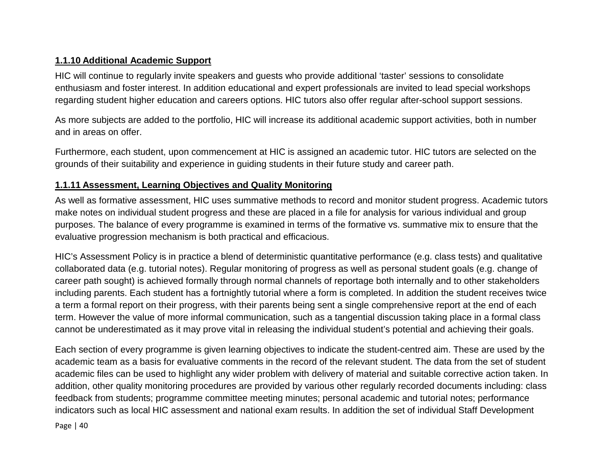# **1.1.10 Additional Academic Support**

HIC will continue to regularly invite speakers and guests who provide additional 'taster' sessions to consolidate enthusiasm and foster interest. In addition educational and expert professionals are invited to lead special workshops regarding student higher education and careers options. HIC tutors also offer regular after-school support sessions.

As more subjects are added to the portfolio, HIC will increase its additional academic support activities, both in number and in areas on offer.

Furthermore, each student, upon commencement at HIC is assigned an academic tutor. HIC tutors are selected on the grounds of their suitability and experience in guiding students in their future study and career path.

# **1.1.11 Assessment, Learning Objectives and Quality Monitoring**

As well as formative assessment, HIC uses summative methods to record and monitor student progress. Academic tutors make notes on individual student progress and these are placed in a file for analysis for various individual and group purposes. The balance of every programme is examined in terms of the formative vs. summative mix to ensure that the evaluative progression mechanism is both practical and efficacious.

HIC's Assessment Policy is in practice a blend of deterministic quantitative performance (e.g. class tests) and qualitative collaborated data (e.g. tutorial notes). Regular monitoring of progress as well as personal student goals (e.g. change of career path sought) is achieved formally through normal channels of reportage both internally and to other stakeholders including parents. Each student has a fortnightly tutorial where a form is completed. In addition the student receives twice a term a formal report on their progress, with their parents being sent a single comprehensive report at the end of each term. However the value of more informal communication, such as a tangential discussion taking place in a formal class cannot be underestimated as it may prove vital in releasing the individual student's potential and achieving their goals.

Each section of every programme is given learning objectives to indicate the student-centred aim. These are used by the academic team as a basis for evaluative comments in the record of the relevant student. The data from the set of student academic files can be used to highlight any wider problem with delivery of material and suitable corrective action taken. In addition, other quality monitoring procedures are provided by various other regularly recorded documents including: class feedback from students; programme committee meeting minutes; personal academic and tutorial notes; performance indicators such as local HIC assessment and national exam results. In addition the set of individual Staff Development